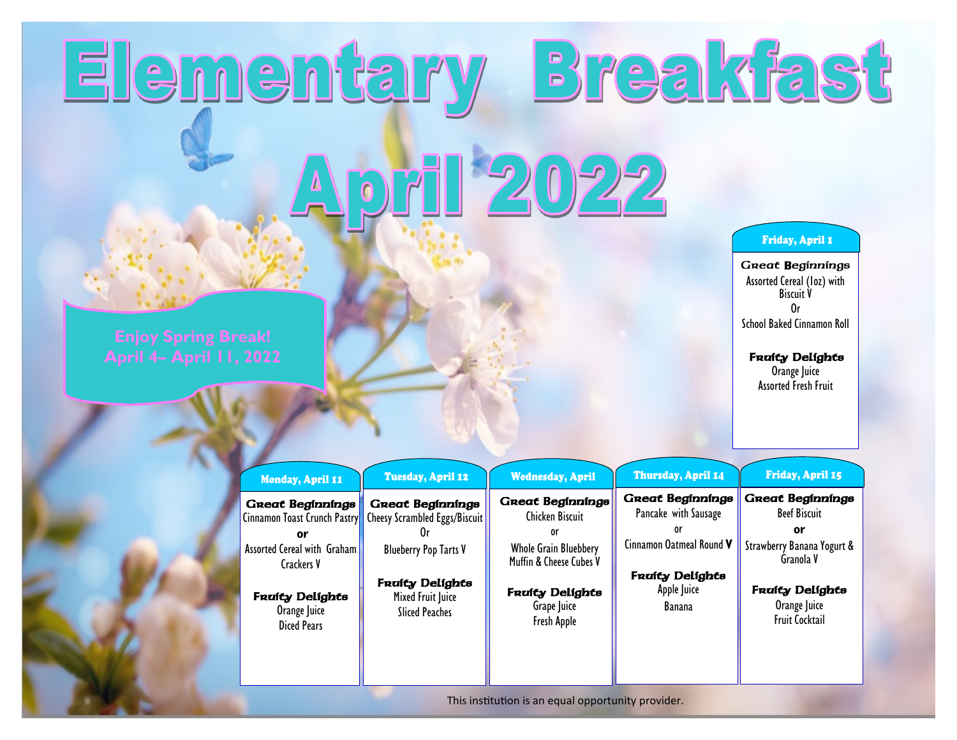## Elementary Breakfast April 2022

## Friday, April 1

Great Beginnings Assorted Cereal (1oz) with Biscuit V Or School Baked Cinnamon Roll

## **Fruity Delights**

Orange Juice Assorted Fresh Fruit

| Monday, April 11                                              | Tuesday, April 12                                        | <b>Wednesday, April</b>                                 | <b>Thursday, April 14</b>                                                         | Friday, April 15                                                |
|---------------------------------------------------------------|----------------------------------------------------------|---------------------------------------------------------|-----------------------------------------------------------------------------------|-----------------------------------------------------------------|
| <b>Great Beginnings</b><br>Cinnamon Toast Crunch Pastry<br>or | <b>Great Beginnings</b><br>Cheesy Scrambled Eggs/Biscuit | <b>Great Beginnings</b><br><b>Chicken Biscuit</b><br>or | <b>Great Beginnings</b><br>Pancake with Sausage<br>0r<br>Cinnamon Oatmeal Round V | <b>Great Beginnings</b><br><b>Beef Biscuit</b><br>٥r            |
| Assorted Cereal with Graham<br>Crackers V                     | <b>Blueberry Pop Tarts V</b><br><b>Fraity Delights</b>   | <b>Whole Grain Bluebbery</b><br>Muffin & Cheese Cubes V | <b>Fraity Delights</b>                                                            | Strawberry Banana Yogurt &<br>Granola V                         |
| <b>Fraity Delights</b><br>Orange Juice<br><b>Diced Pears</b>  | Mixed Fruit Juice<br><b>Sliced Peaches</b>               | <b>Fraity Delights</b><br>Grape Juice<br>Fresh Apple    | Apple Juice<br>Banana                                                             | <b>Fraity Delights</b><br>Orange Juice<br><b>Fruit Cocktail</b> |
|                                                               |                                                          |                                                         |                                                                                   |                                                                 |

This institution is an equal opportunity provider.